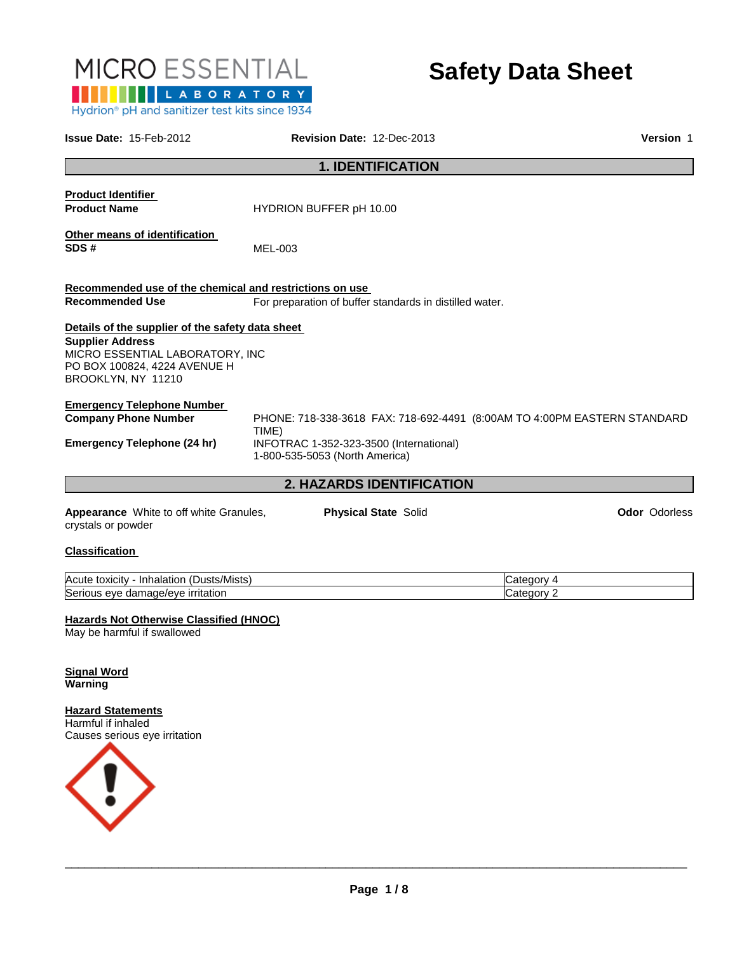

# **Safety Data Sheet**

| <b>Issue Date: 15-Feb-2012</b>                                                                                                                                       | <b>Revision Date: 12-Dec-2013</b>                                                  |                                                         |                                                                          | <b>Version 1</b>     |
|----------------------------------------------------------------------------------------------------------------------------------------------------------------------|------------------------------------------------------------------------------------|---------------------------------------------------------|--------------------------------------------------------------------------|----------------------|
|                                                                                                                                                                      |                                                                                    | <b>1. IDENTIFICATION</b>                                |                                                                          |                      |
| <b>Product Identifier</b><br><b>Product Name</b>                                                                                                                     | HYDRION BUFFER pH 10.00                                                            |                                                         |                                                                          |                      |
| Other means of identification<br>SDS#                                                                                                                                | MEL-003                                                                            |                                                         |                                                                          |                      |
| Recommended use of the chemical and restrictions on use                                                                                                              |                                                                                    |                                                         |                                                                          |                      |
| <b>Recommended Use</b>                                                                                                                                               |                                                                                    | For preparation of buffer standards in distilled water. |                                                                          |                      |
| Details of the supplier of the safety data sheet<br><b>Supplier Address</b><br>MICRO ESSENTIAL LABORATORY, INC<br>PO BOX 100824, 4224 AVENUE H<br>BROOKLYN, NY 11210 |                                                                                    |                                                         |                                                                          |                      |
| <b>Emergency Telephone Number</b><br><b>Company Phone Number</b><br><b>Emergency Telephone (24 hr)</b>                                                               | TIME)<br>INFOTRAC 1-352-323-3500 (International)<br>1-800-535-5053 (North America) |                                                         | PHONE: 718-338-3618 FAX: 718-692-4491 (8:00AM TO 4:00PM EASTERN STANDARD |                      |
|                                                                                                                                                                      |                                                                                    | 2. HAZARDS IDENTIFICATION                               |                                                                          |                      |
| Appearance White to off white Granules,<br>crystals or powder<br><b>Classification</b>                                                                               |                                                                                    | <b>Physical State Solid</b>                             |                                                                          | <b>Odor Odorless</b> |
|                                                                                                                                                                      |                                                                                    |                                                         |                                                                          |                      |
| Acute toxicity - Inhalation (Dusts/Mists)<br>Serious eye damage/eye irritation                                                                                       |                                                                                    |                                                         | Category 4<br>Category 2                                                 |                      |
| Hazards Not Otherwise Classified (HNOC)<br>May be harmful if swallowed                                                                                               |                                                                                    |                                                         |                                                                          |                      |
| <b>Signal Word</b><br>Warning                                                                                                                                        |                                                                                    |                                                         |                                                                          |                      |

**Hazard Statements** Harmful if inhaled Causes serious eye irritation



\_\_\_\_\_\_\_\_\_\_\_\_\_\_\_\_\_\_\_\_\_\_\_\_\_\_\_\_\_\_\_\_\_\_\_\_\_\_\_\_\_\_\_\_\_\_\_\_\_\_\_\_\_\_\_\_\_\_\_\_\_\_\_\_\_\_\_\_\_\_\_\_\_\_\_\_\_\_\_\_\_\_\_\_\_\_\_\_\_\_\_\_\_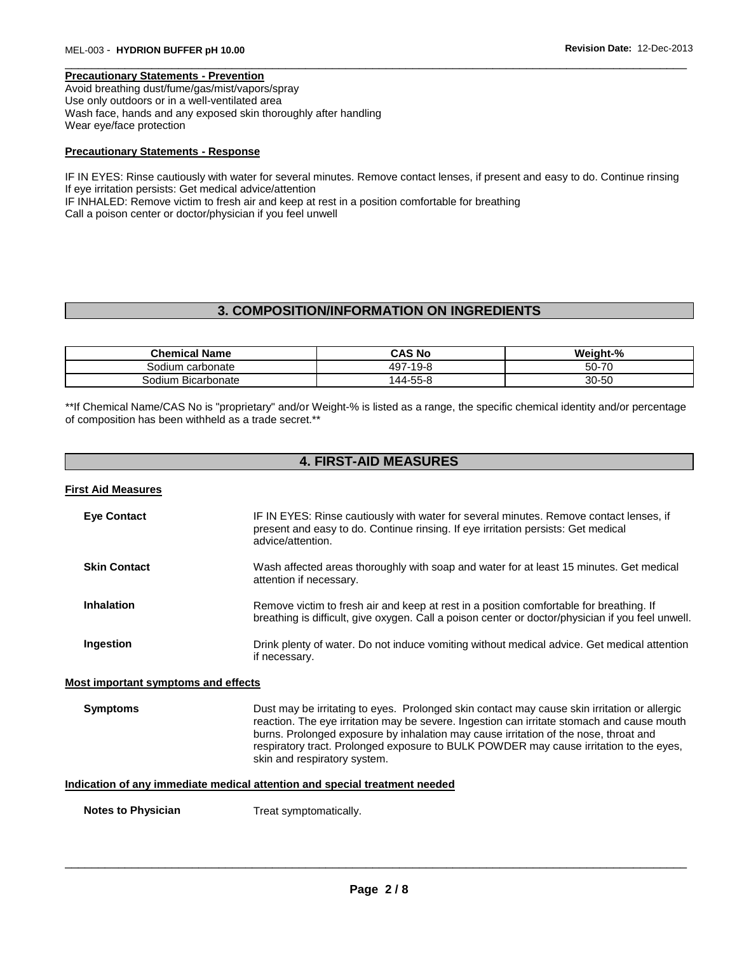#### **Precautionary Statements - Prevention**

Avoid breathing dust/fume/gas/mist/vapors/spray Use only outdoors or in a well-ventilated area Wash face, hands and any exposed skin thoroughly after handling Wear eye/face protection

#### **Precautionary Statements - Response**

IF IN EYES: Rinse cautiously with water for several minutes. Remove contact lenses, if present and easy to do. Continue rinsing If eye irritation persists: Get medical advice/attention IF INHALED: Remove victim to fresh air and keep at rest in a position comfortable for breathing Call a poison center or doctor/physician if you feel unwell

\_\_\_\_\_\_\_\_\_\_\_\_\_\_\_\_\_\_\_\_\_\_\_\_\_\_\_\_\_\_\_\_\_\_\_\_\_\_\_\_\_\_\_\_\_\_\_\_\_\_\_\_\_\_\_\_\_\_\_\_\_\_\_\_\_\_\_\_\_\_\_\_\_\_\_\_\_\_\_\_\_\_\_\_\_\_\_\_\_\_\_\_\_

#### **3. COMPOSITION/INFORMATION ON INGREDIENTS**

| <b>Chemical Name</b>    | CAS No       | Weight-% |
|-------------------------|--------------|----------|
| Sodium carbonate        | 497<br>-19-8 | 50-70    |
| -<br>Sodium Bicarbonate | 144-55-8     | 30-50    |

\*\*If Chemical Name/CAS No is "proprietary" and/or Weight-% is listed as a range, the specific chemical identity and/or percentage of composition has been withheld as a trade secret.\*\*

#### **4. FIRST-AID MEASURES**

#### **First Aid Measures**

| <b>Eye Contact</b>                         | IF IN EYES: Rinse cautiously with water for several minutes. Remove contact lenses, if<br>present and easy to do. Continue rinsing. If eye irritation persists: Get medical<br>advice/attention.                                                                                                                                                                                                             |
|--------------------------------------------|--------------------------------------------------------------------------------------------------------------------------------------------------------------------------------------------------------------------------------------------------------------------------------------------------------------------------------------------------------------------------------------------------------------|
| <b>Skin Contact</b>                        | Wash affected areas thoroughly with soap and water for at least 15 minutes. Get medical<br>attention if necessary.                                                                                                                                                                                                                                                                                           |
| <b>Inhalation</b>                          | Remove victim to fresh air and keep at rest in a position comfortable for breathing. If<br>breathing is difficult, give oxygen. Call a poison center or doctor/physician if you feel unwell.                                                                                                                                                                                                                 |
| Ingestion                                  | Drink plenty of water. Do not induce vomiting without medical advice. Get medical attention<br>if necessary.                                                                                                                                                                                                                                                                                                 |
| <b>Most important symptoms and effects</b> |                                                                                                                                                                                                                                                                                                                                                                                                              |
| <b>Symptoms</b>                            | Dust may be irritating to eyes. Prolonged skin contact may cause skin irritation or allergic<br>reaction. The eye irritation may be severe. Ingestion can irritate stomach and cause mouth<br>burns. Prolonged exposure by inhalation may cause irritation of the nose, throat and<br>respiratory tract. Prolonged exposure to BULK POWDER may cause irritation to the eyes,<br>skin and respiratory system. |
|                                            | Indication of any immediate medical attention and special treatment needed                                                                                                                                                                                                                                                                                                                                   |
| <b>Notes to Physician</b>                  | Treat symptomatically.                                                                                                                                                                                                                                                                                                                                                                                       |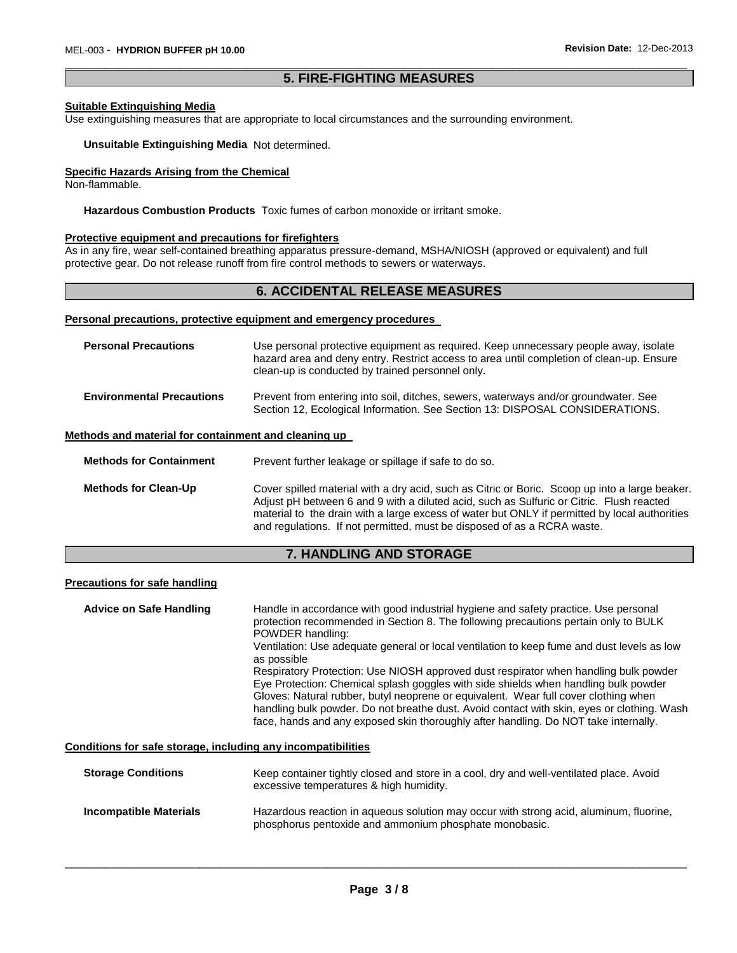#### \_\_\_\_\_\_\_\_\_\_\_\_\_\_\_\_\_\_\_\_\_\_\_\_\_\_\_\_\_\_\_\_\_\_\_\_\_\_\_\_\_\_\_\_\_\_\_\_\_\_\_\_\_\_\_\_\_\_\_\_\_\_\_\_\_\_\_\_\_\_\_\_\_\_\_\_\_\_\_\_\_\_\_\_\_\_\_\_\_\_\_\_\_ **5. FIRE-FIGHTING MEASURES**

#### **Suitable Extinguishing Media**

Use extinguishing measures that are appropriate to local circumstances and the surrounding environment.

#### **Unsuitable Extinguishing Media** Not determined.

#### **Specific Hazards Arising from the Chemical**

Non-flammable.

**Hazardous Combustion Products** Toxic fumes of carbon monoxide or irritant smoke.

#### **Protective equipment and precautions for firefighters**

As in any fire, wear self-contained breathing apparatus pressure-demand, MSHA/NIOSH (approved or equivalent) and full protective gear. Do not release runoff from fire control methods to sewers or waterways.

#### **6. ACCIDENTAL RELEASE MEASURES**

#### **Personal precautions, protective equipment and emergency procedures**

| <b>Personal Precautions</b>                          | Use personal protective equipment as required. Keep unnecessary people away, isolate<br>hazard area and deny entry. Restrict access to area until completion of clean-up. Ensure<br>clean-up is conducted by trained personnel only.                                                                                                                                   |
|------------------------------------------------------|------------------------------------------------------------------------------------------------------------------------------------------------------------------------------------------------------------------------------------------------------------------------------------------------------------------------------------------------------------------------|
| <b>Environmental Precautions</b>                     | Prevent from entering into soil, ditches, sewers, waterways and/or groundwater. See<br>Section 12, Ecological Information. See Section 13: DISPOSAL CONSIDERATIONS.                                                                                                                                                                                                    |
| Methods and material for containment and cleaning up |                                                                                                                                                                                                                                                                                                                                                                        |
| <b>Methods for Containment</b>                       | Prevent further leakage or spillage if safe to do so.                                                                                                                                                                                                                                                                                                                  |
| <b>Methods for Clean-Up</b>                          | Cover spilled material with a dry acid, such as Citric or Boric. Scoop up into a large beaker.<br>Adjust pH between 6 and 9 with a diluted acid, such as Sulfuric or Citric. Flush reacted<br>material to the drain with a large excess of water but ONLY if permitted by local authorities<br>and regulations. If not permitted, must be disposed of as a RCRA waste. |

#### **7. HANDLING AND STORAGE**

#### **Precautions for safe handling**

| <b>Advice on Safe Handling</b>                               | Handle in accordance with good industrial hygiene and safety practice. Use personal<br>protection recommended in Section 8. The following precautions pertain only to BULK<br>POWDER handling:<br>Ventilation: Use adequate general or local ventilation to keep fume and dust levels as low<br>as possible<br>Respiratory Protection: Use NIOSH approved dust respirator when handling bulk powder<br>Eye Protection: Chemical splash goggles with side shields when handling bulk powder<br>Gloves: Natural rubber, butyl neoprene or equivalent. Wear full cover clothing when<br>handling bulk powder. Do not breathe dust. Avoid contact with skin, eyes or clothing. Wash<br>face, hands and any exposed skin thoroughly after handling. Do NOT take internally. |
|--------------------------------------------------------------|------------------------------------------------------------------------------------------------------------------------------------------------------------------------------------------------------------------------------------------------------------------------------------------------------------------------------------------------------------------------------------------------------------------------------------------------------------------------------------------------------------------------------------------------------------------------------------------------------------------------------------------------------------------------------------------------------------------------------------------------------------------------|
| Conditions for safe storage, including any incompatibilities |                                                                                                                                                                                                                                                                                                                                                                                                                                                                                                                                                                                                                                                                                                                                                                        |
| <b>Storage Conditions</b>                                    | Keep container tightly closed and store in a cool, dry and well-ventilated place. Avoid<br>excessive temperatures & high humidity.                                                                                                                                                                                                                                                                                                                                                                                                                                                                                                                                                                                                                                     |
| <b>Incompatible Materials</b>                                | Hazardous reaction in aqueous solution may occur with strong acid, aluminum, fluorine,                                                                                                                                                                                                                                                                                                                                                                                                                                                                                                                                                                                                                                                                                 |

 $\overline{\phantom{a}}$  ,  $\overline{\phantom{a}}$  ,  $\overline{\phantom{a}}$  ,  $\overline{\phantom{a}}$  ,  $\overline{\phantom{a}}$  ,  $\overline{\phantom{a}}$  ,  $\overline{\phantom{a}}$  ,  $\overline{\phantom{a}}$  ,  $\overline{\phantom{a}}$  ,  $\overline{\phantom{a}}$  ,  $\overline{\phantom{a}}$  ,  $\overline{\phantom{a}}$  ,  $\overline{\phantom{a}}$  ,  $\overline{\phantom{a}}$  ,  $\overline{\phantom{a}}$  ,  $\overline{\phantom{a}}$ 

phosphorus pentoxide and ammonium phosphate monobasic.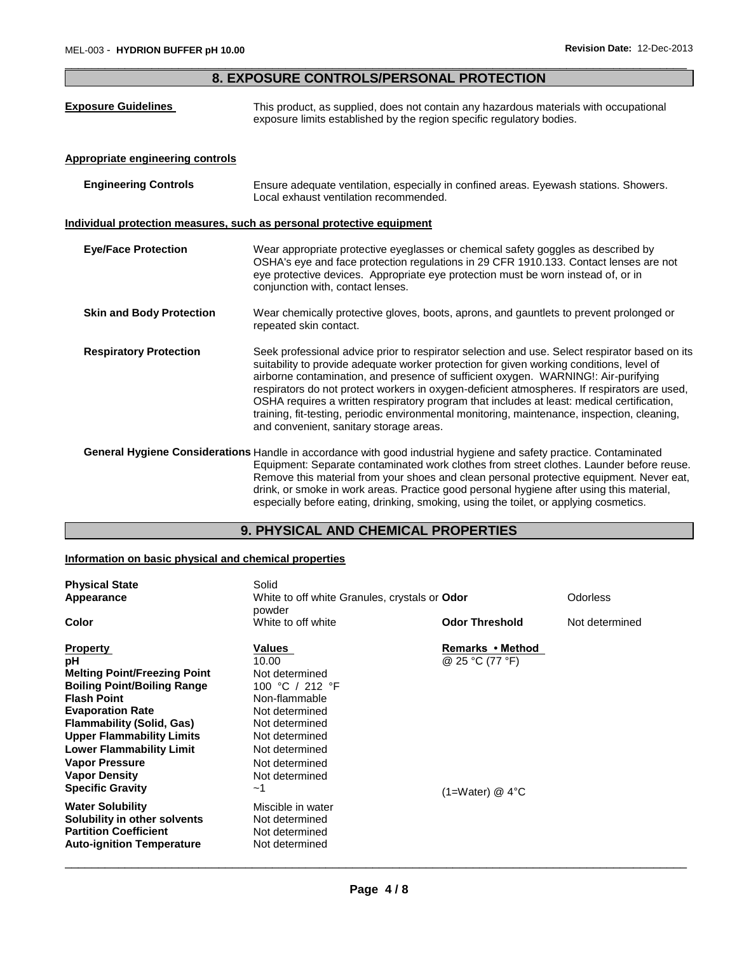#### \_\_\_\_\_\_\_\_\_\_\_\_\_\_\_\_\_\_\_\_\_\_\_\_\_\_\_\_\_\_\_\_\_\_\_\_\_\_\_\_\_\_\_\_\_\_\_\_\_\_\_\_\_\_\_\_\_\_\_\_\_\_\_\_\_\_\_\_\_\_\_\_\_\_\_\_\_\_\_\_\_\_\_\_\_\_\_\_\_\_\_\_\_ **8. EXPOSURE CONTROLS/PERSONAL PROTECTION**

| <b>Exposure Guidelines</b>              | This product, as supplied, does not contain any hazardous materials with occupational<br>exposure limits established by the region specific regulatory bodies.                                                                                                                                                                                                                                                                                                                                                                                                                                                            |
|-----------------------------------------|---------------------------------------------------------------------------------------------------------------------------------------------------------------------------------------------------------------------------------------------------------------------------------------------------------------------------------------------------------------------------------------------------------------------------------------------------------------------------------------------------------------------------------------------------------------------------------------------------------------------------|
| <b>Appropriate engineering controls</b> |                                                                                                                                                                                                                                                                                                                                                                                                                                                                                                                                                                                                                           |
| <b>Engineering Controls</b>             | Ensure adequate ventilation, especially in confined areas. Eyewash stations. Showers.<br>Local exhaust ventilation recommended.                                                                                                                                                                                                                                                                                                                                                                                                                                                                                           |
|                                         | Individual protection measures, such as personal protective equipment                                                                                                                                                                                                                                                                                                                                                                                                                                                                                                                                                     |
| <b>Eye/Face Protection</b>              | Wear appropriate protective eyeglasses or chemical safety goggles as described by<br>OSHA's eye and face protection regulations in 29 CFR 1910.133. Contact lenses are not<br>eye protective devices. Appropriate eye protection must be worn instead of, or in<br>conjunction with, contact lenses.                                                                                                                                                                                                                                                                                                                      |
| <b>Skin and Body Protection</b>         | Wear chemically protective gloves, boots, aprons, and gauntlets to prevent prolonged or<br>repeated skin contact.                                                                                                                                                                                                                                                                                                                                                                                                                                                                                                         |
| <b>Respiratory Protection</b>           | Seek professional advice prior to respirator selection and use. Select respirator based on its<br>suitability to provide adequate worker protection for given working conditions, level of<br>airborne contamination, and presence of sufficient oxygen. WARNING!: Air-purifying<br>respirators do not protect workers in oxygen-deficient atmospheres. If respirators are used,<br>OSHA requires a written respiratory program that includes at least: medical certification,<br>training, fit-testing, periodic environmental monitoring, maintenance, inspection, cleaning,<br>and convenient, sanitary storage areas. |
|                                         | General Hygiene Considerations Handle in accordance with good industrial hygiene and safety practice. Contaminated<br>Equipment: Separate contaminated work clothes from street clothes. Launder before reuse.<br>Remove this material from your shoes and clean personal protective equipment. Never eat,<br>drink, or smoke in work areas. Practice good personal hygiene after using this material,<br>especially before eating, drinking, smoking, using the toilet, or applying cosmetics.                                                                                                                           |

## **9. PHYSICAL AND CHEMICAL PROPERTIES**

#### **Information on basic physical and chemical properties**

| <b>Physical State</b><br>Appearance                                                                                         | Solid<br>White to off white Granules, crystals or <b>Odor</b><br>powder |                             | Odorless       |
|-----------------------------------------------------------------------------------------------------------------------------|-------------------------------------------------------------------------|-----------------------------|----------------|
| Color                                                                                                                       | White to off white                                                      | <b>Odor Threshold</b>       | Not determined |
| <b>Property</b>                                                                                                             | Values                                                                  | Remarks • Method            |                |
| рH                                                                                                                          | 10.00                                                                   | @ 25 °C (77 °F)             |                |
| <b>Melting Point/Freezing Point</b>                                                                                         | Not determined                                                          |                             |                |
| <b>Boiling Point/Boiling Range</b>                                                                                          | 100 °C / 212 °F                                                         |                             |                |
| <b>Flash Point</b>                                                                                                          | Non-flammable                                                           |                             |                |
| <b>Evaporation Rate</b>                                                                                                     | Not determined                                                          |                             |                |
| <b>Flammability (Solid, Gas)</b>                                                                                            | Not determined                                                          |                             |                |
| <b>Upper Flammability Limits</b>                                                                                            | Not determined                                                          |                             |                |
| <b>Lower Flammability Limit</b>                                                                                             | Not determined                                                          |                             |                |
| <b>Vapor Pressure</b>                                                                                                       | Not determined                                                          |                             |                |
| <b>Vapor Density</b>                                                                                                        | Not determined                                                          |                             |                |
| <b>Specific Gravity</b>                                                                                                     | ~1                                                                      | $(1=Water)$ @ $4^{\circ}$ C |                |
| <b>Water Solubility</b><br>Solubility in other solvents<br><b>Partition Coefficient</b><br><b>Auto-ignition Temperature</b> | Miscible in water<br>Not determined<br>Not determined<br>Not determined |                             |                |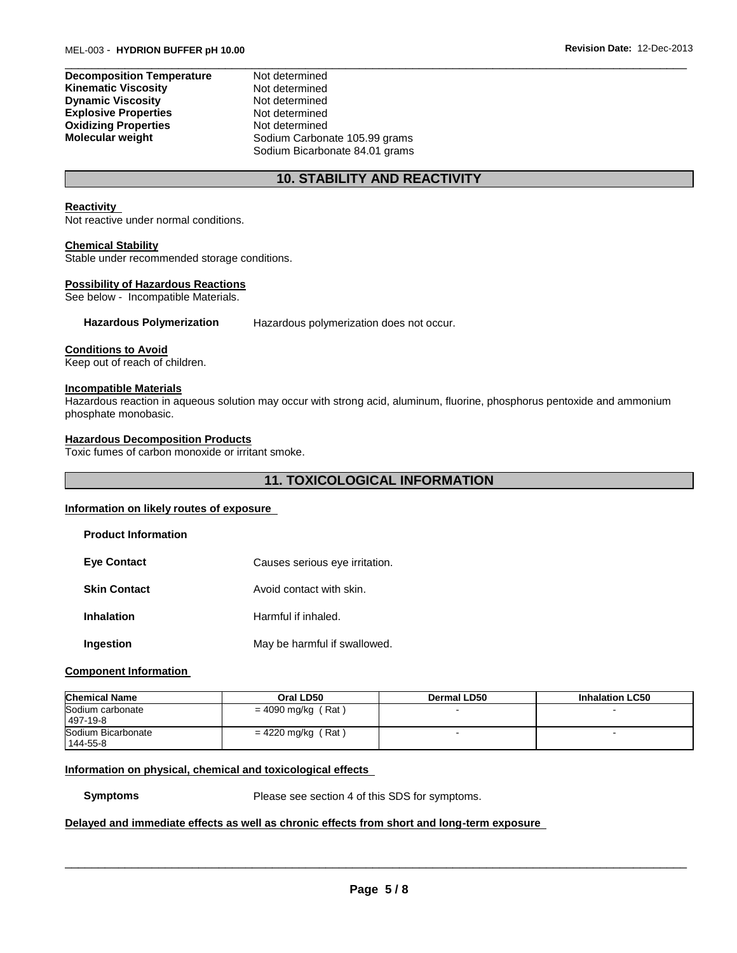**Decomposition Temperature** Not determined **Kinematic Viscosity Not determined Dynamic Viscosity Not determined Explosive Properties** Not determined **Oxidizing Properties Motifier Communist Constrained Motifier Institute Motion Carbon** 

Sodium Carbonate 105.99 grams Sodium Bicarbonate 84.01 grams

### **10. STABILITY AND REACTIVITY**

\_\_\_\_\_\_\_\_\_\_\_\_\_\_\_\_\_\_\_\_\_\_\_\_\_\_\_\_\_\_\_\_\_\_\_\_\_\_\_\_\_\_\_\_\_\_\_\_\_\_\_\_\_\_\_\_\_\_\_\_\_\_\_\_\_\_\_\_\_\_\_\_\_\_\_\_\_\_\_\_\_\_\_\_\_\_\_\_\_\_\_\_\_

#### **Reactivity**

Not reactive under normal conditions.

#### **Chemical Stability**

Stable under recommended storage conditions.

#### **Possibility of Hazardous Reactions**

See below - Incompatible Materials.

**Hazardous Polymerization** Hazardous polymerization does not occur.

#### **Conditions to Avoid**

Keep out of reach of children.

#### **Incompatible Materials**

Hazardous reaction in aqueous solution may occur with strong acid, aluminum, fluorine, phosphorus pentoxide and ammonium phosphate monobasic.

#### **Hazardous Decomposition Products**

Toxic fumes of carbon monoxide or irritant smoke.

#### **11. TOXICOLOGICAL INFORMATION**

#### **Information on likely routes of exposure**

| <b>Product Information</b> |                                |
|----------------------------|--------------------------------|
| <b>Eve Contact</b>         | Causes serious eye irritation. |
| <b>Skin Contact</b>        | Avoid contact with skin.       |
| <b>Inhalation</b>          | Harmful if inhaled.            |
| Ingestion                  | May be harmful if swallowed.   |

#### **Component Information**

| <b>Chemical Name</b>           | Oral LD50            | Dermal LD50 | <b>Inhalation LC50</b> |
|--------------------------------|----------------------|-------------|------------------------|
| Sodium carbonate<br>497-19-8   | $= 4090$ mg/kg (Rat) |             |                        |
| Sodium Bicarbonate<br>144-55-8 | = 4220 mg/kg (Rat)   |             |                        |

#### **Information on physical, chemical and toxicological effects**

**Symptoms** Please see section 4 of this SDS for symptoms.

#### **Delayed and immediate effects as well as chronic effects from short and long-term exposure**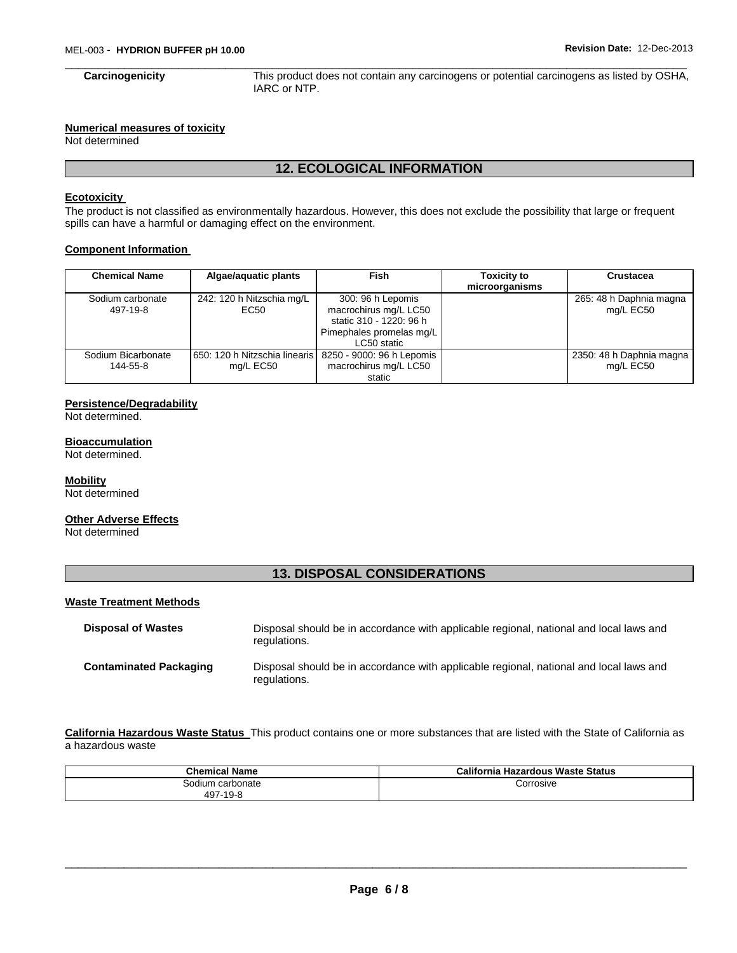\_\_\_\_\_\_\_\_\_\_\_\_\_\_\_\_\_\_\_\_\_\_\_\_\_\_\_\_\_\_\_\_\_\_\_\_\_\_\_\_\_\_\_\_\_\_\_\_\_\_\_\_\_\_\_\_\_\_\_\_\_\_\_\_\_\_\_\_\_\_\_\_\_\_\_\_\_\_\_\_\_\_\_\_\_\_\_\_\_\_\_\_\_ **Carcinogenicity** This product does not contain any carcinogens or potential carcinogens as listed by OSHA, IARC or NTP.

**Numerical measures of toxicity**

Not determined

#### **12. ECOLOGICAL INFORMATION**

#### **Ecotoxicity**

The product is not classified as environmentally hazardous. However, this does not exclude the possibility that large or frequent spills can have a harmful or damaging effect on the environment.

#### **Component Information**

| <b>Chemical Name</b>           | Algae/aquatic plants                          | <b>Fish</b>                                                                                                      | <b>Toxicity to</b><br>microorganisms | Crustacea                             |
|--------------------------------|-----------------------------------------------|------------------------------------------------------------------------------------------------------------------|--------------------------------------|---------------------------------------|
| Sodium carbonate<br>497-19-8   | 242: 120 h Nitzschia mg/L<br>EC50             | 300: 96 h Lepomis<br>macrochirus mg/L LC50<br>static 310 - 1220: 96 h<br>Pimephales promelas mg/L<br>LC50 static |                                      | 265: 48 h Daphnia magna<br>mg/L EC50  |
| Sodium Bicarbonate<br>144-55-8 | 1650: 120 h Nitzschia linearis l<br>mg/L EC50 | 8250 - 9000: 96 h Lepomis<br>macrochirus mg/L LC50<br>static                                                     |                                      | 2350: 48 h Daphnia magna<br>mg/L EC50 |

#### **Persistence/Degradability**

Not determined.

#### **Bioaccumulation**

Not determined.

#### **Mobility**

Not determined

#### **Other Adverse Effects**

Not determined

#### **13. DISPOSAL CONSIDERATIONS**

#### **Waste Treatment Methods**

| <b>Disposal of Wastes</b>     | Disposal should be in accordance with applicable regional, national and local laws and<br>regulations. |
|-------------------------------|--------------------------------------------------------------------------------------------------------|
| <b>Contaminated Packaging</b> | Disposal should be in accordance with applicable regional, national and local laws and<br>regulations. |

**California Hazardous Waste Status** This product contains one or more substances that are listed with the State of California as a hazardous waste

| <b>Chemical Name</b> | <b>California Hazardous Waste Status</b> |
|----------------------|------------------------------------------|
| Sodium carbonate     | Corrosive                                |
| 497-19-8             |                                          |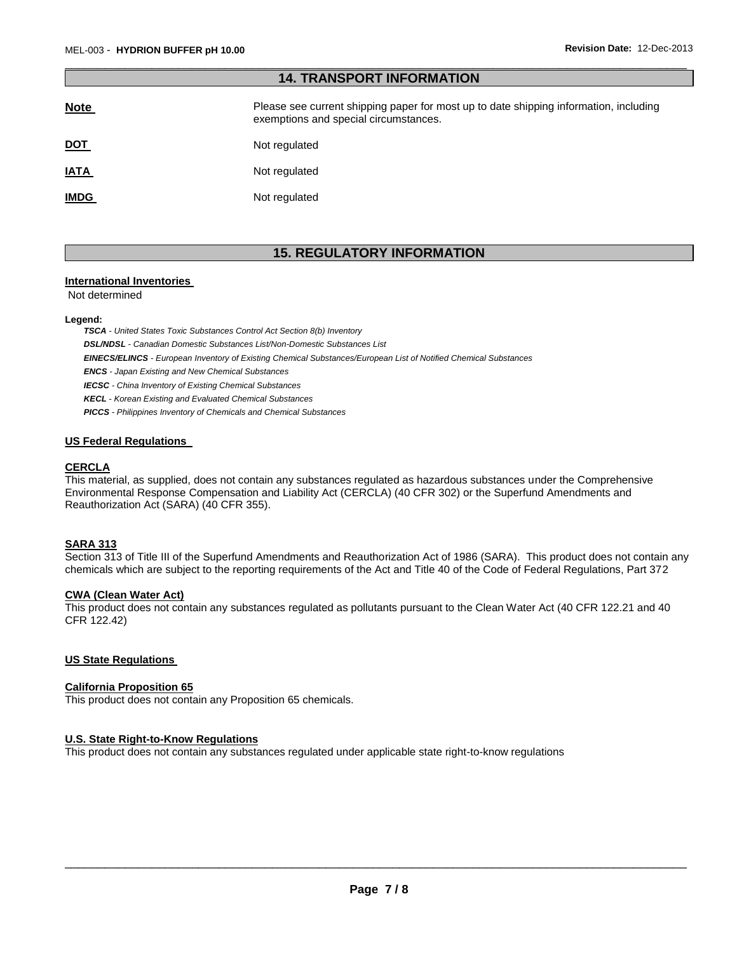### **14. TRANSPORT INFORMATION Note Please see current shipping paper for most up to date shipping information, including** exemptions and special circumstances.

\_\_\_\_\_\_\_\_\_\_\_\_\_\_\_\_\_\_\_\_\_\_\_\_\_\_\_\_\_\_\_\_\_\_\_\_\_\_\_\_\_\_\_\_\_\_\_\_\_\_\_\_\_\_\_\_\_\_\_\_\_\_\_\_\_\_\_\_\_\_\_\_\_\_\_\_\_\_\_\_\_\_\_\_\_\_\_\_\_\_\_\_\_

|             | <b>CACILIDUOLIS QUI</b> |
|-------------|-------------------------|
| <b>DOT</b>  | Not regulated           |
| <b>IATA</b> | Not regulated           |
| <b>IMDG</b> | Not regulated           |

### **15. REGULATORY INFORMATION**

#### **International Inventories**

Not determined

#### **Legend:**

*TSCA - United States Toxic Substances Control Act Section 8(b) Inventory* 

*DSL/NDSL - Canadian Domestic Substances List/Non-Domestic Substances List* 

*EINECS/ELINCS - European Inventory of Existing Chemical Substances/European List of Notified Chemical Substances* 

*ENCS - Japan Existing and New Chemical Substances* 

*IECSC - China Inventory of Existing Chemical Substances* 

*KECL - Korean Existing and Evaluated Chemical Substances* 

*PICCS - Philippines Inventory of Chemicals and Chemical Substances* 

#### **US Federal Regulations**

#### **CERCLA**

This material, as supplied, does not contain any substances regulated as hazardous substances under the Comprehensive Environmental Response Compensation and Liability Act (CERCLA) (40 CFR 302) or the Superfund Amendments and Reauthorization Act (SARA) (40 CFR 355).

#### **SARA 313**

Section 313 of Title III of the Superfund Amendments and Reauthorization Act of 1986 (SARA). This product does not contain any chemicals which are subject to the reporting requirements of the Act and Title 40 of the Code of Federal Regulations, Part 372

#### **CWA (Clean Water Act)**

This product does not contain any substances regulated as pollutants pursuant to the Clean Water Act (40 CFR 122.21 and 40 CFR 122.42)

#### **US State Regulations**

#### **California Proposition 65**

This product does not contain any Proposition 65 chemicals.

#### **U.S. State Right-to-Know Regulations**

This product does not contain any substances regulated under applicable state right-to-know regulations